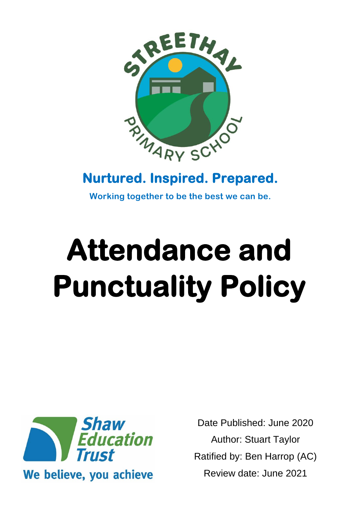

## **Nurtured. Inspired. Prepared.**

**Working together to be the best we can be.**

# **Attendance and Punctuality Policy**



Date Published: June 2020 Author: Stuart Taylor Ratified by: Ben Harrop (AC) Review date: June 2021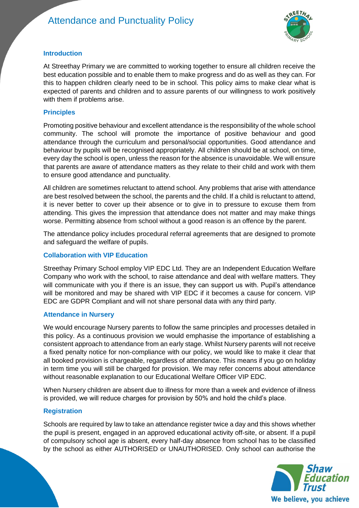## Attendance and Punctuality Policy



#### **Introduction**

At Streethay Primary we are committed to working together to ensure all children receive the best education possible and to enable them to make progress and do as well as they can. For this to happen children clearly need to be in school. This policy aims to make clear what is expected of parents and children and to assure parents of our willingness to work positively with them if problems arise.

#### **Principles**

Promoting positive behaviour and excellent attendance is the responsibility of the whole school community. The school will promote the importance of positive behaviour and good attendance through the curriculum and personal/social opportunities. Good attendance and behaviour by pupils will be recognised appropriately. All children should be at school, on time, every day the school is open, unless the reason for the absence is unavoidable. We will ensure that parents are aware of attendance matters as they relate to their child and work with them to ensure good attendance and punctuality.

All children are sometimes reluctant to attend school. Any problems that arise with attendance are best resolved between the school, the parents and the child. If a child is reluctant to attend, it is never better to cover up their absence or to give in to pressure to excuse them from attending. This gives the impression that attendance does not matter and may make things worse. Permitting absence from school without a good reason is an offence by the parent.

The attendance policy includes procedural referral agreements that are designed to promote and safeguard the welfare of pupils.

#### **Collaboration with VIP Education**

Streethay Primary School employ VIP EDC Ltd. They are an Independent Education Welfare Company who work with the school, to raise attendance and deal with welfare matters. They will communicate with you if there is an issue, they can support us with. Pupil's attendance will be monitored and may be shared with VIP EDC if it becomes a cause for concern. VIP EDC are GDPR Compliant and will not share personal data with any third party.

#### **Attendance in Nursery**

We would encourage Nursery parents to follow the same principles and processes detailed in this policy. As a continuous provision we would emphasise the importance of establishing a consistent approach to attendance from an early stage. Whilst Nursery parents will not receive a fixed penalty notice for non-compliance with our policy, we would like to make it clear that all booked provision is chargeable, regardless of attendance. This means if you go on holiday in term time you will still be charged for provision. We may refer concerns about attendance without reasonable explanation to our Educational Welfare Officer VIP EDC.

When Nursery children are absent due to illness for more than a week and evidence of illness is provided, we will reduce charges for provision by 50% and hold the child's place.

#### **Registration**

Schools are required by law to take an attendance register twice a day and this shows whether the pupil is present, engaged in an approved educational activity off-site, or absent. If a pupil of compulsory school age is absent, every half-day absence from school has to be classified by the school as either AUTHORISED or UNAUTHORISED. Only school can authorise the

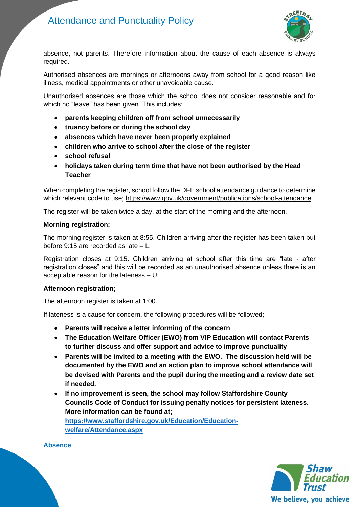

absence, not parents. Therefore information about the cause of each absence is always required.

Authorised absences are mornings or afternoons away from school for a good reason like illness, medical appointments or other unavoidable cause.

Unauthorised absences are those which the school does not consider reasonable and for which no "leave" has been given. This includes:

- **parents keeping children off from school unnecessarily**
- **truancy before or during the school day**
- **absences which have never been properly explained**
- **children who arrive to school after the close of the register**
- **school refusal**
- **holidays taken during term time that have not been authorised by the Head Teacher**

When completing the register, school follow the DFE school attendance guidance to determine which relevant code to use;<https://www.gov.uk/government/publications/school-attendance>

The register will be taken twice a day, at the start of the morning and the afternoon.

#### **Morning registration;**

The morning register is taken at 8:55. Children arriving after the register has been taken but before 9:15 are recorded as late – L.

Registration closes at 9:15. Children arriving at school after this time are "late - after registration closes" and this will be recorded as an unauthorised absence unless there is an acceptable reason for the lateness – U.

#### **Afternoon registration;**

The afternoon register is taken at 1:00.

If lateness is a cause for concern, the following procedures will be followed;

- **Parents will receive a letter informing of the concern**
- **The Education Welfare Officer (EWO) from VIP Education will contact Parents to further discuss and offer support and advice to improve punctuality**
- **Parents will be invited to a meeting with the EWO. The discussion held will be documented by the EWO and an action plan to improve school attendance will be devised with Parents and the pupil during the meeting and a review date set if needed.**
- **If no improvement is seen, the school may follow Staffordshire County Councils Code of Conduct for issuing penalty notices for persistent lateness. More information can be found at; [https://www.staffordshire.gov.uk/Education/Education](https://www.staffordshire.gov.uk/Education/Education-welfare/Attendance.aspx)[welfare/Attendance.aspx](https://www.staffordshire.gov.uk/Education/Education-welfare/Attendance.aspx)**

**Absence**

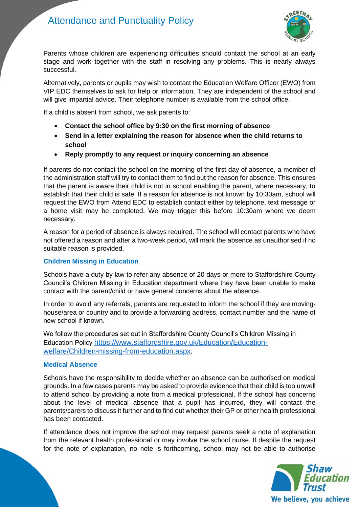

Parents whose children are experiencing difficulties should contact the school at an early stage and work together with the staff in resolving any problems. This is nearly always successful.

Alternatively, parents or pupils may wish to contact the Education Welfare Officer (EWO) from VIP EDC themselves to ask for help or information. They are independent of the school and will give impartial advice. Their telephone number is available from the school office.

If a child is absent from school, we ask parents to:

- **Contact the school office by 9:30 on the first morning of absence**
- **Send in a letter explaining the reason for absence when the child returns to school**
- **Reply promptly to any request or inquiry concerning an absence**

If parents do not contact the school on the morning of the first day of absence, a member of the administration staff will try to contact them to find out the reason for absence. This ensures that the parent is aware their child is not in school enabling the parent, where necessary, to establish that their child is safe. If a reason for absence is not known by 10:30am, school will request the EWO from Attend EDC to establish contact either by telephone, text message or a home visit may be completed. We may trigger this before 10:30am where we deem necessary.

A reason for a period of absence is always required. The school will contact parents who have not offered a reason and after a two-week period, will mark the absence as unauthorised if no suitable reason is provided.

#### **Children Missing in Education**

Schools have a duty by law to refer any absence of 20 days or more to Staffordshire County Council's Children Missing in Education department where they have been unable to make contact with the parent/child or have general concerns about the absence.

In order to avoid any referrals, parents are requested to inform the school if they are movinghouse/area or country and to provide a forwarding address, contact number and the name of new school if known.

We follow the procedures set out in Staffordshire County Council's Children Missing in Education Policy [https://www.staffordshire.gov.uk/Education/Education](https://www.staffordshire.gov.uk/Education/Education-welfare/Children-missing-from-education.aspx)[welfare/Children-missing-from-education.aspx.](https://www.staffordshire.gov.uk/Education/Education-welfare/Children-missing-from-education.aspx)

#### **Medical Absence**

Schools have the responsibility to decide whether an absence can be authorised on medical grounds. In a few cases parents may be asked to provide evidence that their child is too unwell to attend school by providing a note from a medical professional. If the school has concerns about the level of medical absence that a pupil has incurred, they will contact the parents/carers to discuss it further and to find out whether their GP or other health professional has been contacted.

If attendance does not improve the school may request parents seek a note of explanation from the relevant health professional or may involve the school nurse. If despite the request for the note of explanation, no note is forthcoming, school may not be able to authorise

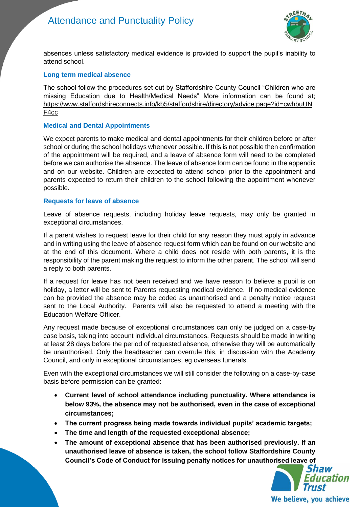

absences unless satisfactory medical evidence is provided to support the pupil's inability to attend school.

#### **Long term medical absence**

The school follow the procedures set out by Staffordshire County Council "Children who are missing Education due to Health/Medical Needs" More information can be found at; [https://www.staffordshireconnects.info/kb5/staffordshire/directory/advice.page?id=cwhbuUN](https://www.staffordshireconnects.info/kb5/staffordshire/directory/advice.page?id=cwhbuUNF4cc) [F4cc](https://www.staffordshireconnects.info/kb5/staffordshire/directory/advice.page?id=cwhbuUNF4cc)

#### **Medical and Dental Appointments**

We expect parents to make medical and dental appointments for their children before or after school or during the school holidays whenever possible. If this is not possible then confirmation of the appointment will be required, and a leave of absence form will need to be completed before we can authorise the absence. The leave of absence form can be found in the appendix and on our website. Children are expected to attend school prior to the appointment and parents expected to return their children to the school following the appointment whenever possible.

#### **Requests for leave of absence**

Leave of absence requests, including holiday leave requests, may only be granted in exceptional circumstances.

If a parent wishes to request leave for their child for any reason they must apply in advance and in writing using the leave of absence request form which can be found on our website and at the end of this document. Where a child does not reside with both parents, it is the responsibility of the parent making the request to inform the other parent. The school will send a reply to both parents.

If a request for leave has not been received and we have reason to believe a pupil is on holiday, a letter will be sent to Parents requesting medical evidence. If no medical evidence can be provided the absence may be coded as unauthorised and a penalty notice request sent to the Local Authority. Parents will also be requested to attend a meeting with the Education Welfare Officer.

Any request made because of exceptional circumstances can only be judged on a case-by case basis, taking into account individual circumstances. Requests should be made in writing at least 28 days before the period of requested absence, otherwise they will be automatically be unauthorised. Only the headteacher can overrule this, in discussion with the Academy Council, and only in exceptional circumstances, eg overseas funerals.

Even with the exceptional circumstances we will still consider the following on a case-by-case basis before permission can be granted:

- **Current level of school attendance including punctuality. Where attendance is below 93%, the absence may not be authorised, even in the case of exceptional circumstances;**
- **The current progress being made towards individual pupils' academic targets;**
- **The time and length of the requested exceptional absence;**
- **The amount of exceptional absence that has been authorised previously. If an unauthorised leave of absence is taken, the school follow Staffordshire County Council's Code of Conduct for issuing penalty notices for unauthorised leave of**

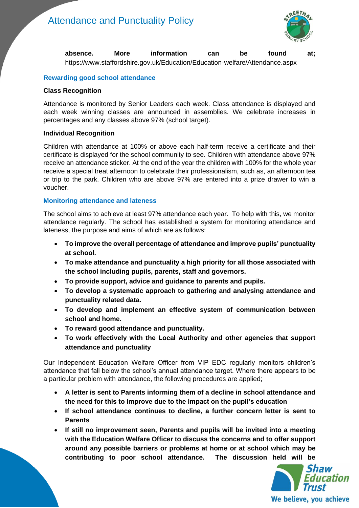

#### **absence. More information can be found at;**  <https://www.staffordshire.gov.uk/Education/Education-welfare/Attendance.aspx>

#### **Rewarding good school attendance**

#### **Class Recognition**

Attendance is monitored by Senior Leaders each week. Class attendance is displayed and each week winning classes are announced in assemblies. We celebrate increases in percentages and any classes above 97% (school target).

#### **Individual Recognition**

Children with attendance at 100% or above each half-term receive a certificate and their certificate is displayed for the school community to see. Children with attendance above 97% receive an attendance sticker. At the end of the year the children with 100% for the whole year receive a special treat afternoon to celebrate their professionalism, such as, an afternoon tea or trip to the park. Children who are above 97% are entered into a prize drawer to win a voucher.

#### **Monitoring attendance and lateness**

The school aims to achieve at least 97% attendance each year. To help with this, we monitor attendance regularly. The school has established a system for monitoring attendance and lateness, the purpose and aims of which are as follows:

- **To improve the overall percentage of attendance and improve pupils' punctuality at school.**
- **To make attendance and punctuality a high priority for all those associated with the school including pupils, parents, staff and governors.**
- **To provide support, advice and guidance to parents and pupils.**
- **To develop a systematic approach to gathering and analysing attendance and punctuality related data.**
- **To develop and implement an effective system of communication between school and home.**
- **To reward good attendance and punctuality.**
- **To work effectively with the Local Authority and other agencies that support attendance and punctuality**

Our Independent Education Welfare Officer from VIP EDC regularly monitors children's attendance that fall below the school's annual attendance target. Where there appears to be a particular problem with attendance, the following procedures are applied;

- **A letter is sent to Parents informing them of a decline in school attendance and the need for this to improve due to the impact on the pupil's education**
- **If school attendance continues to decline, a further concern letter is sent to Parents**
- **If still no improvement seen, Parents and pupils will be invited into a meeting with the Education Welfare Officer to discuss the concerns and to offer support around any possible barriers or problems at home or at school which may be contributing to poor school attendance. The discussion held will be**

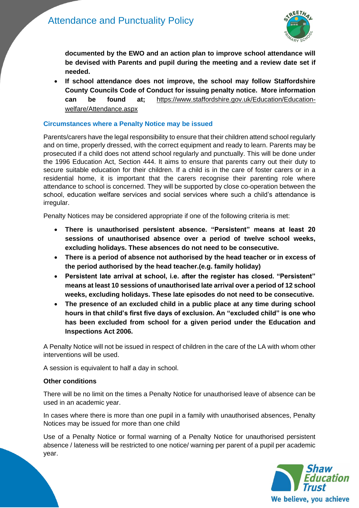

**documented by the EWO and an action plan to improve school attendance will be devised with Parents and pupil during the meeting and a review date set if needed.**

• **If school attendance does not improve, the school may follow Staffordshire County Councils Code of Conduct for issuing penalty notice. More information can be found at;** [https://www.staffordshire.gov.uk/Education/Education](https://www.staffordshire.gov.uk/Education/Education-welfare/Attendance.aspx)[welfare/Attendance.aspx](https://www.staffordshire.gov.uk/Education/Education-welfare/Attendance.aspx)

#### **Circumstances where a Penalty Notice may be issued**

Parents/carers have the legal responsibility to ensure that their children attend school regularly and on time, properly dressed, with the correct equipment and ready to learn. Parents may be prosecuted if a child does not attend school regularly and punctually. This will be done under the 1996 Education Act, Section 444. It aims to ensure that parents carry out their duty to secure suitable education for their children. If a child is in the care of foster carers or in a residential home, it is important that the carers recognise their parenting role where attendance to school is concerned. They will be supported by close co-operation between the school, education welfare services and social services where such a child's attendance is irregular.

Penalty Notices may be considered appropriate if one of the following criteria is met:

- **There is unauthorised persistent absence. "Persistent" means at least 20 sessions of unauthorised absence over a period of twelve school weeks, excluding holidays. These absences do not need to be consecutive.**
- **There is a period of absence not authorised by the head teacher or in excess of the period authorised by the head teacher.(e.g. family holiday)**
- **Persistent late arrival at school, i.e. after the register has closed. "Persistent" means at least 10 sessions of unauthorised late arrival over a period of 12 school weeks, excluding holidays. These late episodes do not need to be consecutive.**
- **The presence of an excluded child in a public place at any time during school hours in that child's first five days of exclusion. An "excluded child" is one who has been excluded from school for a given period under the Education and Inspections Act 2006.**

A Penalty Notice will not be issued in respect of children in the care of the LA with whom other interventions will be used.

A session is equivalent to half a day in school.

#### **Other conditions**

There will be no limit on the times a Penalty Notice for unauthorised leave of absence can be used in an academic year.

In cases where there is more than one pupil in a family with unauthorised absences, Penalty Notices may be issued for more than one child

Use of a Penalty Notice or formal warning of a Penalty Notice for unauthorised persistent absence / lateness will be restricted to one notice/ warning per parent of a pupil per academic year.

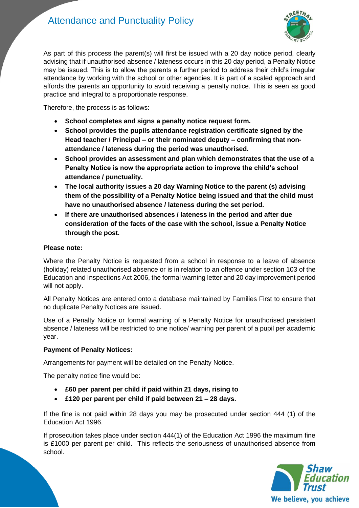### Attendance and Punctuality Policy



As part of this process the parent(s) will first be issued with a 20 day notice period, clearly advising that if unauthorised absence / lateness occurs in this 20 day period, a Penalty Notice may be issued. This is to allow the parents a further period to address their child's irregular attendance by working with the school or other agencies. It is part of a scaled approach and affords the parents an opportunity to avoid receiving a penalty notice. This is seen as good practice and integral to a proportionate response.

Therefore, the process is as follows:

- **School completes and signs a penalty notice request form.**
- **School provides the pupils attendance registration certificate signed by the Head teacher / Principal – or their nominated deputy – confirming that nonattendance / lateness during the period was unauthorised.**
- **School provides an assessment and plan which demonstrates that the use of a Penalty Notice is now the appropriate action to improve the child's school attendance / punctuality.**
- **The local authority issues a 20 day Warning Notice to the parent (s) advising them of the possibility of a Penalty Notice being issued and that the child must have no unauthorised absence / lateness during the set period.**
- **If there are unauthorised absences / lateness in the period and after due consideration of the facts of the case with the school, issue a Penalty Notice through the post.**

#### **Please note:**

Where the Penalty Notice is requested from a school in response to a leave of absence (holiday) related unauthorised absence or is in relation to an offence under section 103 of the Education and Inspections Act 2006, the formal warning letter and 20 day improvement period will not apply.

All Penalty Notices are entered onto a database maintained by Families First to ensure that no duplicate Penalty Notices are issued.

Use of a Penalty Notice or formal warning of a Penalty Notice for unauthorised persistent absence / lateness will be restricted to one notice/ warning per parent of a pupil per academic year.

#### **Payment of Penalty Notices:**

Arrangements for payment will be detailed on the Penalty Notice.

The penalty notice fine would be:

- **£60 per parent per child if paid within 21 days, rising to**
- **£120 per parent per child if paid between 21 – 28 days.**

If the fine is not paid within 28 days you may be prosecuted under section 444 (1) of the Education Act 1996.

If prosecution takes place under section 444(1) of the Education Act 1996 the maximum fine is £1000 per parent per child. This reflects the seriousness of unauthorised absence from school.

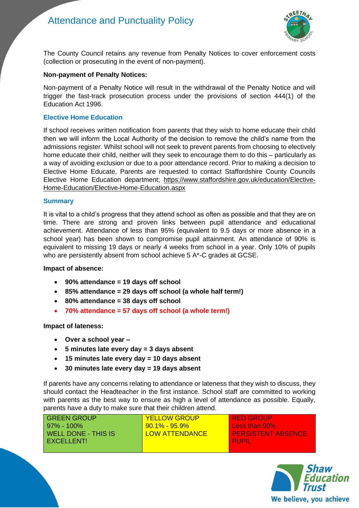

The County Council retains any revenue from Penalty Notices to cover enforcement costs (collection or prosecuting in the event of non-payment).

#### **Non-payment of Penalty Notices:**

Non-payment of a Penalty Notice will result in the withdrawal of the Penalty Notice and will trigger the fast-track prosecution process under the provisions of section 444(1) of the Education Act 1996.

#### **Elective Home Education**

If school receives written notification from parents that they wish to home educate their child then we will inform the Local Authority of the decision to remove the child's name from the admissions register. Whilst school will not seek to prevent parents from choosing to electively home educate their child, neither will they seek to encourage them to do this – particularly as a way of avoiding exclusion or due to a poor attendance record. Prior to making a decision to Elective Home Educate, Parents are requested to contact Staffordshire County Councils Elective Home Education department; [https://www.staffordshire.gov.uk/education/Elective-](https://www.staffordshire.gov.uk/education/Elective-Home-Education/Elective-Home-Education.aspx)[Home-Education/Elective-Home-Education.aspx](https://www.staffordshire.gov.uk/education/Elective-Home-Education/Elective-Home-Education.aspx)

#### **Summary**

It is vital to a child's progress that they attend school as often as possible and that they are on time. There are strong and proven links between pupil attendance and educational achievement. Attendance of less than 95% (equivalent to 9.5 days or more absence in a school year) has been shown to compromise pupil attainment. An attendance of 90% is equivalent to missing 19 days or nearly 4 weeks from school in a year. Only 10% of pupils who are persistently absent from school achieve 5 A\*-C grades at GCSE.

#### **Impact of absence:**

- **90% attendance = 19 days off school**
- **85% attendance = 29 days off school (a whole half term!)**
- **80% attendance = 38 days off school**
- **70% attendance = 57 days off school (a whole term!)**

#### **Impact of lateness:**

- **Over a school year –**
- **5 minutes late every day = 3 days absent**
- **15 minutes late every day = 10 days absent**
- **30 minutes late every day = 19 days absent**

If parents have any concerns relating to attendance or lateness that they wish to discuss, they should contact the Headteacher in the first instance. School staff are committed to working with parents as the best way to ensure as high a level of attendance as possible. Equally, parents have a duty to make sure that their children attend.

| <b>GREEN GROUP</b>  | <b>YELLOW GROUP</b>   | I RED GROUP               |
|---------------------|-----------------------|---------------------------|
| l 97% - 100%        | <u>90.1% - 95.9% </u> | Less than 90%             |
| WELL DONE - THIS IS | <b>LOW ATTENDANCE</b> | <b>PERSISTENT ABSENCE</b> |
| EXCELLENT!          |                       | <b>PUPIL</b>              |
|                     |                       |                           |

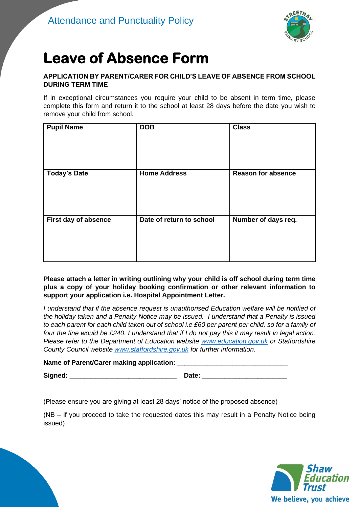

## **Leave of Absence Form**

#### **APPLICATION BY PARENT/CARER FOR CHILD'S LEAVE OF ABSENCE FROM SCHOOL DURING TERM TIME**

If in exceptional circumstances you require your child to be absent in term time, please complete this form and return it to the school at least 28 days before the date you wish to remove your child from school.

| <b>Pupil Name</b>    | <b>DOB</b>               | <b>Class</b>              |
|----------------------|--------------------------|---------------------------|
| <b>Today's Date</b>  | <b>Home Address</b>      | <b>Reason for absence</b> |
| First day of absence | Date of return to school | Number of days req.       |

**Please attach a letter in writing outlining why your child is off school during term time plus a copy of your holiday booking confirmation or other relevant information to support your application i.e. Hospital Appointment Letter.**

*I understand that if the absence request is unauthorised Education welfare will be notified of the holiday taken and a Penalty Notice may be issued. I understand that a Penalty is issued to each parent for each child taken out of school i.e £60 per parent per child, so for a family of four the fine would be £240. I understand that if I do not pay this it may result in legal action. Please refer to the Department of Education website [www.education.gov.uk](http://www.education.gov.uk/) or Staffordshire County Council website [www.staffordshire.gov.uk](http://www.staffordshire.gov.uk/) for further information.*

#### Name of Parent/Carer making application:

**Signed:** \_\_\_\_\_\_\_\_\_\_\_\_\_\_\_\_\_\_\_\_\_\_\_\_\_\_\_\_\_ **Date:** \_\_\_\_\_\_\_\_\_\_\_\_\_\_\_\_\_\_\_\_\_\_\_

(Please ensure you are giving at least 28 days' notice of the proposed absence)

(NB – if you proceed to take the requested dates this may result in a Penalty Notice being issued)

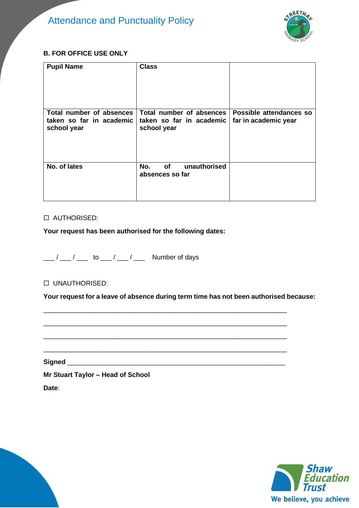

#### **B. FOR OFFICE USE ONLY**

| <b>Pupil Name</b>                                                   | <b>Class</b>                                                        |                                                 |
|---------------------------------------------------------------------|---------------------------------------------------------------------|-------------------------------------------------|
| Total number of absences<br>taken so far in academic<br>school year | Total number of absences<br>taken so far in academic<br>school year | Possible attendances so<br>far in academic year |
| No. of lates                                                        | <b>of</b><br>unauthorised<br>No.<br>absences so far                 |                                                 |

#### AUTHORISED:

#### **Your request has been authorised for the following dates:**

 $\frac{1}{2}$  / \_\_\_ / \_\_\_ to \_\_\_ / \_\_\_ / \_\_\_ Number of days

#### UNAUTHORISED:

**Your request for a leave of absence during term time has not been authorised because:**

\_\_\_\_\_\_\_\_\_\_\_\_\_\_\_\_\_\_\_\_\_\_\_\_\_\_\_\_\_\_\_\_\_\_\_\_\_\_\_\_\_\_\_\_\_\_\_\_\_\_\_\_\_\_\_\_\_\_\_\_\_\_\_\_\_\_

\_\_\_\_\_\_\_\_\_\_\_\_\_\_\_\_\_\_\_\_\_\_\_\_\_\_\_\_\_\_\_\_\_\_\_\_\_\_\_\_\_\_\_\_\_\_\_\_\_\_\_\_\_\_\_\_\_\_\_\_\_\_\_\_\_\_

\_\_\_\_\_\_\_\_\_\_\_\_\_\_\_\_\_\_\_\_\_\_\_\_\_\_\_\_\_\_\_\_\_\_\_\_\_\_\_\_\_\_\_\_\_\_\_\_\_\_\_\_\_\_\_\_\_\_\_\_\_\_\_\_\_\_

\_\_\_\_\_\_\_\_\_\_\_\_\_\_\_\_\_\_\_\_\_\_\_\_\_\_\_\_\_\_\_\_\_\_\_\_\_\_\_\_\_\_\_\_\_\_\_\_\_\_\_\_\_\_\_\_\_\_\_\_\_\_\_\_\_\_

**Signed** \_\_\_\_\_\_\_\_\_\_\_\_\_\_\_\_\_\_\_\_\_\_\_\_\_\_\_\_\_\_\_\_\_\_\_\_\_\_\_\_\_\_\_\_\_\_\_\_\_\_\_\_\_\_\_\_\_\_\_

**Mr Stuart Taylor – Head of School**

**Date**: